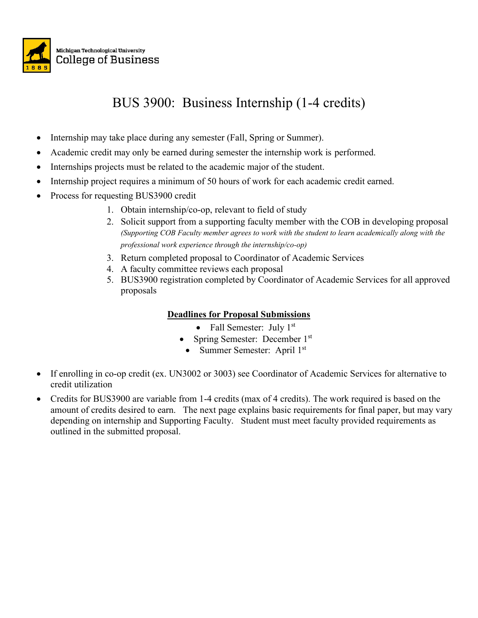

## BUS 3900: Business Internship (1-4 credits)

- Internship may take place during any semester (Fall, Spring or Summer).
- Academic credit may only be earned during semester the internship work is performed.
- Internships projects must be related to the academic major of the student.
- Internship project requires a minimum of 50 hours of work for each academic credit earned.
- Process for requesting BUS3900 credit
	- 1. Obtain internship/co-op, relevant to field of study
	- 2. Solicit support from a supporting faculty member with the COB in developing proposal *(Supporting COB Faculty member agrees to work with the student to learn academically along with the professional work experience through the internship/co-op)*
	- 3. Return completed proposal to Coordinator of Academic Services
	- 4. A faculty committee reviews each proposal
	- 5. BUS3900 registration completed by Coordinator of Academic Services for all approved proposals

### **Deadlines for Proposal Submissions**

- Fall Semester: July  $1<sup>st</sup>$
- Spring Semester: December 1st
- Summer Semester: April 1st
- If enrolling in co-op credit (ex. UN3002 or 3003) see Coordinator of Academic Services for alternative to credit utilization
- Credits for BUS3900 are variable from 1-4 credits (max of 4 credits). The work required is based on the amount of credits desired to earn. The next page explains basic requirements for final paper, but may vary depending on internship and Supporting Faculty. Student must meet faculty provided requirements as outlined in the submitted proposal.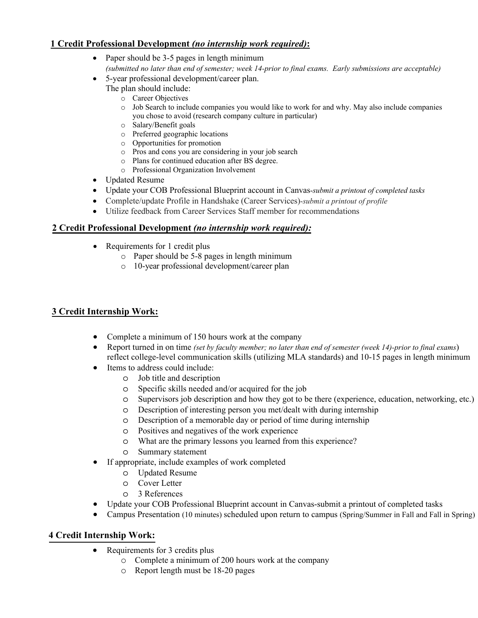#### **1 Credit Professional Development** *(no internship work required)***:**

- Paper should be 3-5 pages in length minimum *(submitted no later than end of semester; week 14-prior to final exams. Early submissions are acceptable)*
- 5-year professional development/career plan.
	- The plan should include:
		- o Career Objectives
		- o Job Search to include companies you would like to work for and why. May also include companies you chose to avoid (research company culture in particular)
		- o Salary/Benefit goals
		- o Preferred geographic locations
		- o Opportunities for promotion
		- o Pros and cons you are considering in your job search
		- o Plans for continued education after BS degree.
		- o Professional Organization Involvement
- Updated Resume
- Update your COB Professional Blueprint account in Canvas-*submit a printout of completed tasks*
- Complete/update Profile in Handshake (Career Services)-*submit a printout of profile*
- Utilize feedback from Career Services Staff member for recommendations

### **2 Credit Professional Development** *(no internship work required):*

- Requirements for 1 credit plus
	- o Paper should be 5-8 pages in length minimum
	- o 10-year professional development/career plan

### **3 Credit Internship Work:**

- Complete a minimum of 150 hours work at the company
- Report turned in on time *(set by faculty member; no later than end of semester (week 14)-prior to final exams*) reflect college-level communication skills (utilizing MLA standards) and 10-15 pages in length minimum
- Items to address could include:
	- o Job title and description
	- o Specific skills needed and/or acquired for the job
	- o Supervisors job description and how they got to be there (experience, education, networking, etc.)
	- o Description of interesting person you met/dealt with during internship
	- o Description of a memorable day or period of time during internship
	- o Positives and negatives of the work experience
	- o What are the primary lessons you learned from this experience?
	- o Summary statement
- If appropriate, include examples of work completed
	- o Updated Resume
	- o Cover Letter
	- o 3 References
- Update your COB Professional Blueprint account in Canvas-submit a printout of completed tasks
- Campus Presentation (10 minutes) scheduled upon return to campus (Spring/Summer in Fall and Fall in Spring)

### **4 Credit Internship Work:**

- Requirements for 3 credits plus
	- o Complete a minimum of 200 hours work at the company
	- o Report length must be 18-20 pages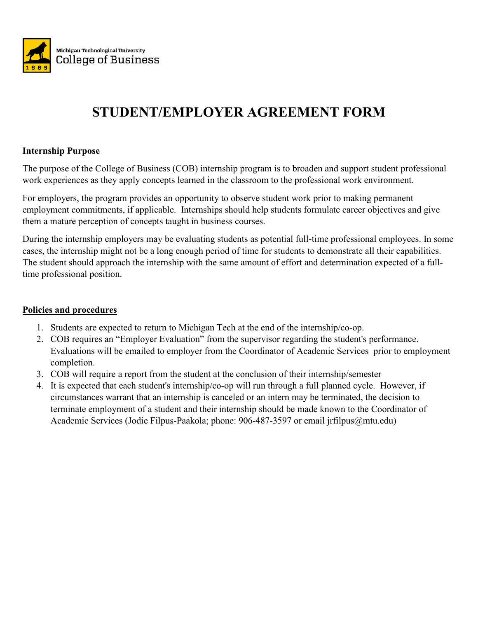

# **STUDENT/EMPLOYER AGREEMENT FORM**

### **Internship Purpose**

The purpose of the College of Business (COB) internship program is to broaden and support student professional work experiences as they apply concepts learned in the classroom to the professional work environment.

For employers, the program provides an opportunity to observe student work prior to making permanent employment commitments, if applicable. Internships should help students formulate career objectives and give them a mature perception of concepts taught in business courses.

During the internship employers may be evaluating students as potential full-time professional employees. In some cases, the internship might not be a long enough period of time for students to demonstrate all their capabilities. The student should approach the internship with the same amount of effort and determination expected of a fulltime professional position.

### **Policies and procedures**

- 1. Students are expected to return to Michigan Tech at the end of the internship/co-op.
- 2. COB requires an "Employer Evaluation" from the supervisor regarding the student's performance. Evaluations will be emailed to employer from the Coordinator of Academic Services prior to employment completion.
- 3. COB will require a report from the student at the conclusion of their internship/semester
- 4. It is expected that each student's internship/co-op will run through a full planned cycle. However, if circumstances warrant that an internship is canceled or an intern may be terminated, the decision to terminate employment of a student and their internship should be made known to the Coordinator of Academic Services (Jodie Filpus-Paakola; phone: 906-487-3597 or email jrfilpus@mtu.edu)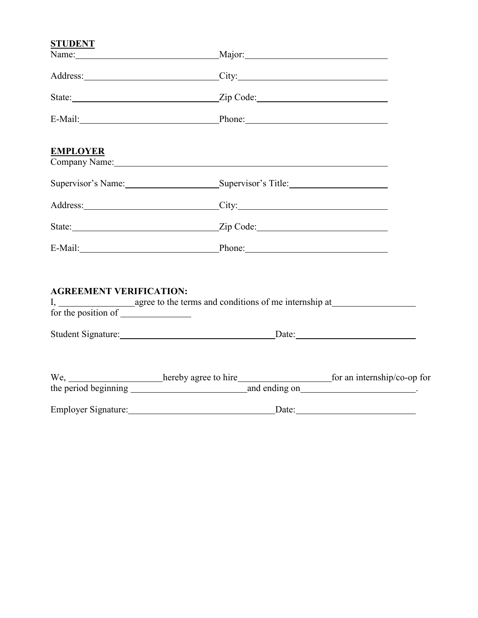### **STUDENT**

| Name:                          | Major: Major:                                                                                                                                                                                                                  |            |
|--------------------------------|--------------------------------------------------------------------------------------------------------------------------------------------------------------------------------------------------------------------------------|------------|
|                                | Address: City: City:                                                                                                                                                                                                           |            |
|                                |                                                                                                                                                                                                                                |            |
|                                | E-Mail: Phone: Phone:                                                                                                                                                                                                          |            |
| <b>EMPLOYER</b>                | Company Name: Name: Name and South Assembly Name and South Assembly Name and South Assembly Name and South Assembly Name and South Assembly Name and South Assembly Name and Assembly Name and Assembly Name and Assembly Name |            |
|                                | Supervisor's Name: Supervisor's Title: Supervisor's Title:                                                                                                                                                                     |            |
|                                | Address: City: City:                                                                                                                                                                                                           |            |
|                                |                                                                                                                                                                                                                                |            |
|                                | E-Mail: Phone: Phone: Phone:                                                                                                                                                                                                   |            |
| <b>AGREEMENT VERIFICATION:</b> |                                                                                                                                                                                                                                |            |
|                                |                                                                                                                                                                                                                                |            |
|                                | We, hereby agree to hire for an internship/co-op for                                                                                                                                                                           |            |
|                                |                                                                                                                                                                                                                                | Date: 2008 |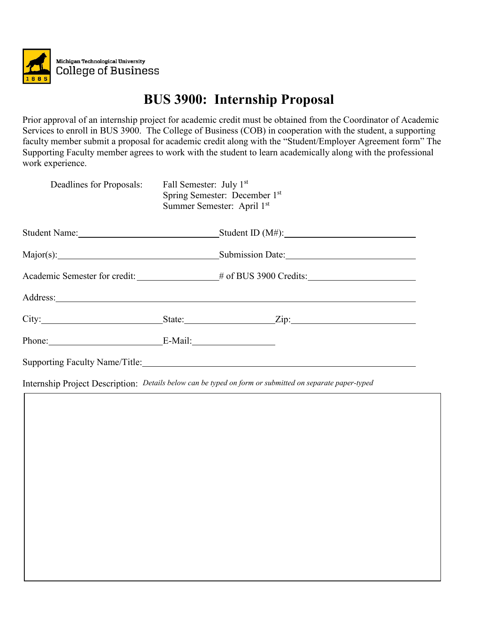

# **BUS 3900: Internship Proposal**

Prior approval of an internship project for academic credit must be obtained from the Coordinator of Academic Services to enroll in BUS 3900. The College of Business (COB) in cooperation with the student, a supporting faculty member submit a proposal for academic credit along with the "Student/Employer Agreement form" The Supporting Faculty member agrees to work with the student to learn academically along with the professional work experience.

| Deadlines for Proposals: | Fall Semester: July 1 <sup>st</sup><br>Summer Semester: April 1st | Spring Semester: December 1st |
|--------------------------|-------------------------------------------------------------------|-------------------------------|
|                          |                                                                   | $_$ Student ID (M#): $_$      |
|                          |                                                                   | Submission Date:              |
|                          | Academic Semester for credit: # of BUS 3900 Credits:              |                               |
|                          |                                                                   |                               |
|                          |                                                                   |                               |
| Phone: E-Mail:           |                                                                   |                               |
|                          |                                                                   |                               |

Internship Project Description: *Details below can be typed on form or submitted on separate paper-typed*